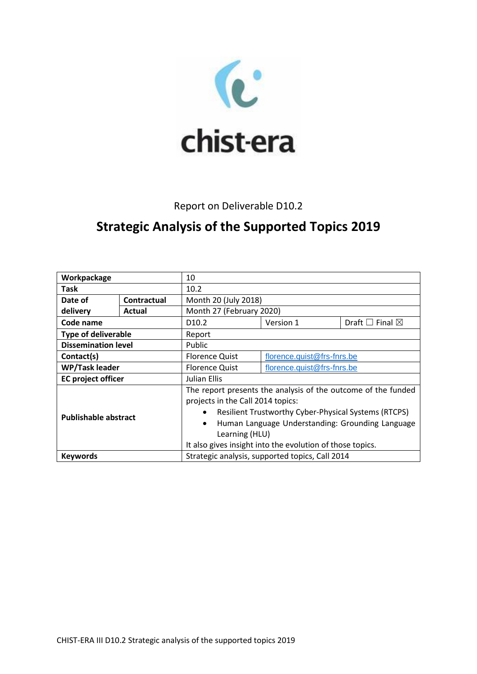

## Report on Deliverable D10.2

# **Strategic Analysis of the Supported Topics 2019**

| Workpackage                 |                    | 10                                                                       |                            |                                 |
|-----------------------------|--------------------|--------------------------------------------------------------------------|----------------------------|---------------------------------|
| <b>Task</b>                 |                    | 10.2                                                                     |                            |                                 |
| Date of                     | <b>Contractual</b> | Month 20 (July 2018)                                                     |                            |                                 |
| delivery                    | Actual             | Month 27 (February 2020)                                                 |                            |                                 |
| Code name                   |                    | D <sub>10.2</sub>                                                        | Version 1                  | Draft $\square$ Final $\square$ |
| <b>Type of deliverable</b>  |                    | Report                                                                   |                            |                                 |
| <b>Dissemination level</b>  |                    | Public                                                                   |                            |                                 |
| Contact(s)                  |                    | <b>Florence Quist</b>                                                    | florence.quist@frs-fnrs.be |                                 |
| <b>WP/Task leader</b>       |                    | <b>Florence Quist</b>                                                    | florence.quist@frs-fnrs.be |                                 |
| <b>EC</b> project officer   |                    | Julian Ellis                                                             |                            |                                 |
| <b>Publishable abstract</b> |                    | The report presents the analysis of the outcome of the funded            |                            |                                 |
|                             |                    | projects in the Call 2014 topics:                                        |                            |                                 |
|                             |                    | <b>Resilient Trustworthy Cyber-Physical Systems (RTCPS)</b><br>$\bullet$ |                            |                                 |
|                             |                    | Human Language Understanding: Grounding Language<br>$\bullet$            |                            |                                 |
|                             |                    | Learning (HLU)                                                           |                            |                                 |
|                             |                    | It also gives insight into the evolution of those topics.                |                            |                                 |
| <b>Keywords</b>             |                    | Strategic analysis, supported topics, Call 2014                          |                            |                                 |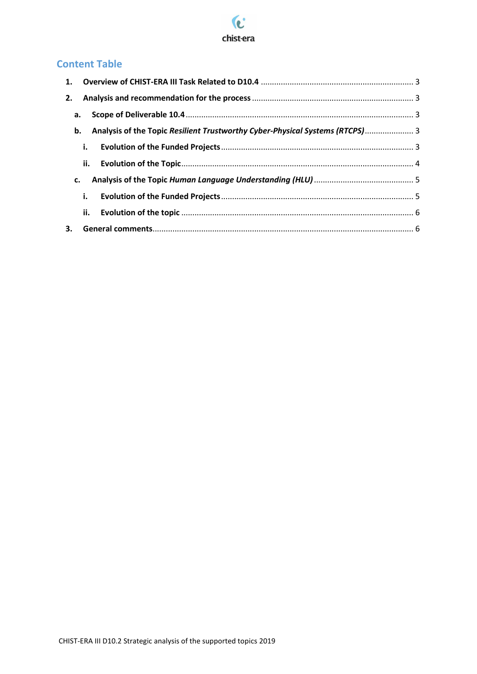

## **Content Table**

|    | a. |                                                                              |  |
|----|----|------------------------------------------------------------------------------|--|
|    | b. | Analysis of the Topic Resilient Trustworthy Cyber-Physical Systems (RTCPS) 3 |  |
|    | i. |                                                                              |  |
|    |    |                                                                              |  |
| c. |    |                                                                              |  |
|    | i. |                                                                              |  |
|    |    |                                                                              |  |
|    |    |                                                                              |  |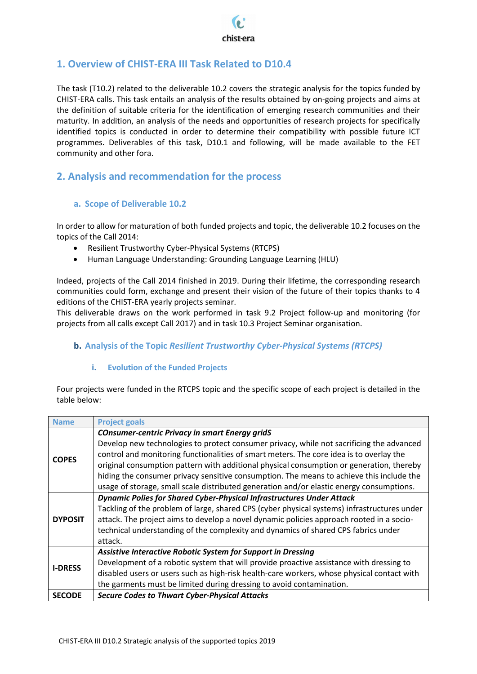

### <span id="page-2-0"></span>**1. Overview of CHIST-ERA III Task Related to D10.4**

The task (T10.2) related to the deliverable 10.2 covers the strategic analysis for the topics funded by CHIST-ERA calls. This task entails an analysis of the results obtained by on-going projects and aims at the definition of suitable criteria for the identification of emerging research communities and their maturity. In addition, an analysis of the needs and opportunities of research projects for specifically identified topics is conducted in order to determine their compatibility with possible future ICT programmes. Deliverables of this task, D10.1 and following, will be made available to the FET community and other fora.

### <span id="page-2-1"></span>**2. Analysis and recommendation for the process**

#### <span id="page-2-2"></span>**a. Scope of Deliverable 10.2**

In order to allow for maturation of both funded projects and topic, the deliverable 10.2 focuses on the topics of the Call 2014:

- Resilient Trustworthy Cyber-Physical Systems (RTCPS)
- Human Language Understanding: Grounding Language Learning (HLU)

Indeed, projects of the Call 2014 finished in 2019. During their lifetime, the corresponding research communities could form, exchange and present their vision of the future of their topics thanks to 4 editions of the CHIST-ERA yearly projects seminar.

This deliverable draws on the work performed in task 9.2 Project follow-up and monitoring (for projects from all calls except Call 2017) and in task 10.3 Project Seminar organisation.

#### <span id="page-2-3"></span>**b. Analysis of the Topic** *Resilient Trustworthy Cyber-Physical Systems (RTCPS)*

#### **i. Evolution of the Funded Projects**

<span id="page-2-4"></span>Four projects were funded in the RTCPS topic and the specific scope of each project is detailed in the table below:

| <b>Name</b>    | <b>Project goals</b>                                                                        |
|----------------|---------------------------------------------------------------------------------------------|
| <b>COPES</b>   | <b>COnsumer-centric Privacy in smart Energy gridS</b>                                       |
|                | Develop new technologies to protect consumer privacy, while not sacrificing the advanced    |
|                | control and monitoring functionalities of smart meters. The core idea is to overlay the     |
|                | original consumption pattern with additional physical consumption or generation, thereby    |
|                | hiding the consumer privacy sensitive consumption. The means to achieve this include the    |
|                | usage of storage, small scale distributed generation and/or elastic energy consumptions.    |
|                | Dynamic Polies for Shared Cyber-Physical Infrastructures Under Attack                       |
|                | Tackling of the problem of large, shared CPS (cyber physical systems) infrastructures under |
| <b>DYPOSIT</b> | attack. The project aims to develop a novel dynamic policies approach rooted in a socio-    |
|                | technical understanding of the complexity and dynamics of shared CPS fabrics under          |
|                | attack.                                                                                     |
| <b>I-DRESS</b> | Assistive Interactive Robotic System for Support in Dressing                                |
|                | Development of a robotic system that will provide proactive assistance with dressing to     |
|                | disabled users or users such as high-risk health-care workers, whose physical contact with  |
|                | the garments must be limited during dressing to avoid contamination.                        |
| <b>SECODE</b>  | <b>Secure Codes to Thwart Cyber-Physical Attacks</b>                                        |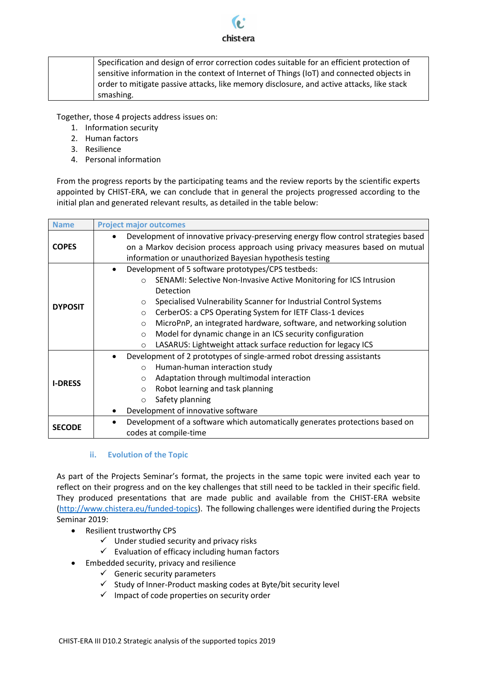

| Specification and design of error correction codes suitable for an efficient protection of |
|--------------------------------------------------------------------------------------------|
| sensitive information in the context of Internet of Things (IoT) and connected objects in  |
| order to mitigate passive attacks, like memory disclosure, and active attacks, like stack  |
| smashing.                                                                                  |

Together, those 4 projects address issues on:

- 1. Information security
- 2. Human factors
- 3. Resilience
- 4. Personal information

From the progress reports by the participating teams and the review reports by the scientific experts appointed by CHIST-ERA, we can conclude that in general the projects progressed according to the initial plan and generated relevant results, as detailed in the table below:

| <b>Name</b>    | <b>Project major outcomes</b>                                                     |  |  |
|----------------|-----------------------------------------------------------------------------------|--|--|
|                | Development of innovative privacy-preserving energy flow control strategies based |  |  |
| <b>COPES</b>   | on a Markov decision process approach using privacy measures based on mutual      |  |  |
|                | information or unauthorized Bayesian hypothesis testing                           |  |  |
|                | Development of 5 software prototypes/CPS testbeds:                                |  |  |
| <b>DYPOSIT</b> | SENAMI: Selective Non-Invasive Active Monitoring for ICS Intrusion<br>$\Omega$    |  |  |
|                | Detection                                                                         |  |  |
|                | Specialised Vulnerability Scanner for Industrial Control Systems<br>O             |  |  |
|                | CerberOS: a CPS Operating System for IETF Class-1 devices<br>$\circ$              |  |  |
|                | MicroPnP, an integrated hardware, software, and networking solution<br>$\circ$    |  |  |
|                | Model for dynamic change in an ICS security configuration<br>$\circ$              |  |  |
|                | LASARUS: Lightweight attack surface reduction for legacy ICS<br>$\circ$           |  |  |
|                | Development of 2 prototypes of single-armed robot dressing assistants             |  |  |
|                | Human-human interaction study<br>$\Omega$                                         |  |  |
| <b>I-DRESS</b> | Adaptation through multimodal interaction<br>$\circ$                              |  |  |
|                | Robot learning and task planning<br>$\circ$                                       |  |  |
|                | Safety planning<br>$\circ$                                                        |  |  |
|                | Development of innovative software                                                |  |  |
|                | Development of a software which automatically generates protections based on      |  |  |
| <b>SECODE</b>  | codes at compile-time                                                             |  |  |

#### **ii. Evolution of the Topic**

<span id="page-3-0"></span>As part of the Projects Seminar's format, the projects in the same topic were invited each year to reflect on their progress and on the key challenges that still need to be tackled in their specific field. They produced presentations that are made public and available from the CHIST-ERA website [\(http://www.chistera.eu/funded-topics\)](http://www.chistera.eu/funded-topics). The following challenges were identified during the Projects Seminar 2019:

- Resilient trustworthy CPS
	- $\checkmark$  Under studied security and privacy risks
	- $\checkmark$  Evaluation of efficacy including human factors
- **•** Embedded security, privacy and resilience
	- $\checkmark$  Generic security parameters
	- $\checkmark$  Study of Inner-Product masking codes at Byte/bit security level
	- $\checkmark$  Impact of code properties on security order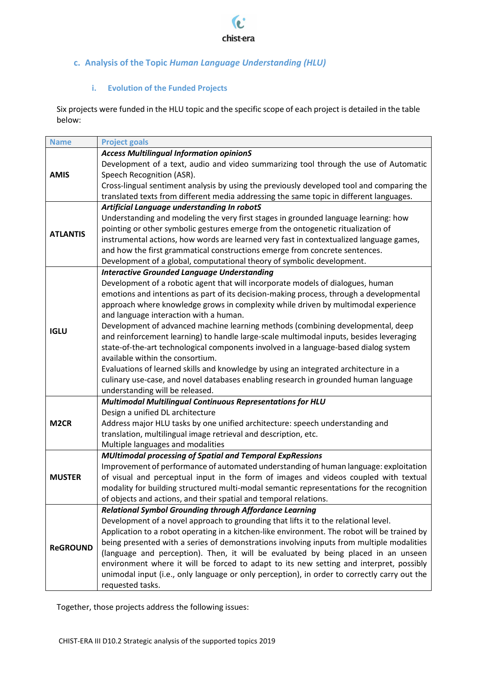

## <span id="page-4-0"></span>**c. Analysis of the Topic** *Human Language Understanding (HLU)*

#### **i. Evolution of the Funded Projects**

<span id="page-4-1"></span>Six projects were funded in the HLU topic and the specific scope of each project is detailed in the table below:

| <b>Name</b>       | <b>Project goals</b>                                                                         |
|-------------------|----------------------------------------------------------------------------------------------|
|                   | <b>Access Multilingual Information opinionS</b>                                              |
| <b>AMIS</b>       | Development of a text, audio and video summarizing tool through the use of Automatic         |
|                   | Speech Recognition (ASR).                                                                    |
|                   | Cross-lingual sentiment analysis by using the previously developed tool and comparing the    |
|                   | translated texts from different media addressing the same topic in different languages.      |
|                   | Artificial Language understanding In robotS                                                  |
| <b>ATLANTIS</b>   | Understanding and modeling the very first stages in grounded language learning: how          |
|                   | pointing or other symbolic gestures emerge from the ontogenetic ritualization of             |
|                   | instrumental actions, how words are learned very fast in contextualized language games,      |
|                   | and how the first grammatical constructions emerge from concrete sentences.                  |
|                   | Development of a global, computational theory of symbolic development.                       |
|                   | <b>Interactive Grounded Language Understanding</b>                                           |
|                   | Development of a robotic agent that will incorporate models of dialogues, human              |
|                   | emotions and intentions as part of its decision-making process, through a developmental      |
|                   | approach where knowledge grows in complexity while driven by multimodal experience           |
|                   | and language interaction with a human.                                                       |
|                   | Development of advanced machine learning methods (combining developmental, deep              |
| <b>IGLU</b>       | and reinforcement learning) to handle large-scale multimodal inputs, besides leveraging      |
|                   | state-of-the-art technological components involved in a language-based dialog system         |
|                   | available within the consortium.                                                             |
|                   | Evaluations of learned skills and knowledge by using an integrated architecture in a         |
|                   | culinary use-case, and novel databases enabling research in grounded human language          |
|                   | understanding will be released.                                                              |
|                   | Multimodal Multilingual Continuous Representations for HLU                                   |
|                   | Design a unified DL architecture                                                             |
| M <sub>2</sub> CR | Address major HLU tasks by one unified architecture: speech understanding and                |
|                   | translation, multilingual image retrieval and description, etc.                              |
|                   | Multiple languages and modalities                                                            |
|                   | <b>MUltimodal processing of Spatial and Temporal ExpRessions</b>                             |
|                   | Improvement of performance of automated understanding of human language: exploitation        |
| <b>MUSTER</b>     | of visual and perceptual input in the form of images and videos coupled with textual         |
|                   | modality for building structured multi-modal semantic representations for the recognition    |
|                   | of objects and actions, and their spatial and temporal relations.                            |
|                   | <b>Relational Symbol Grounding through Affordance Learning</b>                               |
| <b>ReGROUND</b>   | Development of a novel approach to grounding that lifts it to the relational level.          |
|                   | Application to a robot operating in a kitchen-like environment. The robot will be trained by |
|                   | being presented with a series of demonstrations involving inputs from multiple modalities    |
|                   | (language and perception). Then, it will be evaluated by being placed in an unseen           |
|                   | environment where it will be forced to adapt to its new setting and interpret, possibly      |
|                   | unimodal input (i.e., only language or only perception), in order to correctly carry out the |
|                   |                                                                                              |
|                   | requested tasks.                                                                             |

Together, those projects address the following issues: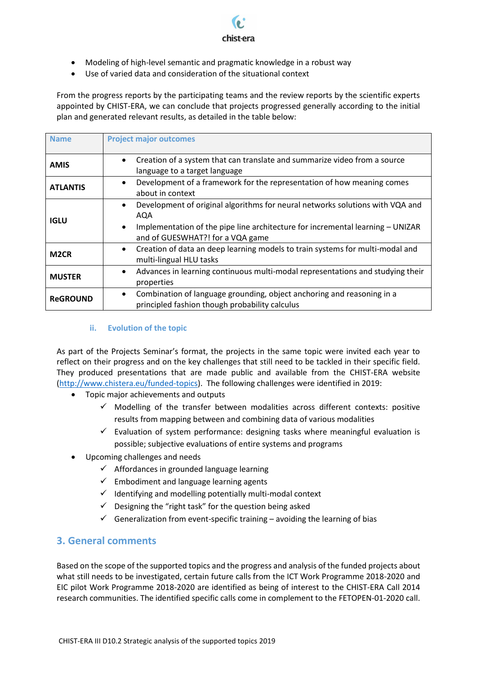

- Modeling of high-level semantic and pragmatic knowledge in a robust way
- Use of varied data and consideration of the situational context

From the progress reports by the participating teams and the review reports by the scientific experts appointed by CHIST-ERA, we can conclude that projects progressed generally according to the initial plan and generated relevant results, as detailed in the table below:

| <b>Name</b>       | <b>Project major outcomes</b>                                                                                                                                                                                                        |
|-------------------|--------------------------------------------------------------------------------------------------------------------------------------------------------------------------------------------------------------------------------------|
| <b>AMIS</b>       | Creation of a system that can translate and summarize video from a source<br>language to a target language                                                                                                                           |
| <b>ATLANTIS</b>   | Development of a framework for the representation of how meaning comes<br>$\bullet$<br>about in context                                                                                                                              |
| <b>IGLU</b>       | Development of original algorithms for neural networks solutions with VQA and<br>$\bullet$<br>AQA<br>Implementation of the pipe line architecture for incremental learning - UNIZAR<br>$\bullet$<br>and of GUESWHAT?! for a VQA game |
| M <sub>2</sub> CR | Creation of data an deep learning models to train systems for multi-modal and<br>$\bullet$<br>multi-lingual HLU tasks                                                                                                                |
| <b>MUSTER</b>     | Advances in learning continuous multi-modal representations and studying their<br>٠<br>properties                                                                                                                                    |
| <b>ReGROUND</b>   | Combination of language grounding, object anchoring and reasoning in a<br>$\bullet$<br>principled fashion though probability calculus                                                                                                |

#### **ii. Evolution of the topic**

<span id="page-5-0"></span>As part of the Projects Seminar's format, the projects in the same topic were invited each year to reflect on their progress and on the key challenges that still need to be tackled in their specific field. They produced presentations that are made public and available from the CHIST-ERA website [\(http://www.chistera.eu/funded-topics\)](http://www.chistera.eu/funded-topics). The following challenges were identified in 2019:

- Topic major achievements and outputs
	- $\checkmark$  Modelling of the transfer between modalities across different contexts: positive results from mapping between and combining data of various modalities
	- $\checkmark$  Evaluation of system performance: designing tasks where meaningful evaluation is possible; subjective evaluations of entire systems and programs
- Upcoming challenges and needs
	- $\checkmark$  Affordances in grounded language learning
	- $\checkmark$  Embodiment and language learning agents
	- $\checkmark$  Identifying and modelling potentially multi-modal context
	- $\checkmark$  Designing the "right task" for the question being asked
	- $\checkmark$  Generalization from event-specific training avoiding the learning of bias

### <span id="page-5-1"></span>**3. General comments**

Based on the scope of the supported topics and the progress and analysis of the funded projects about what still needs to be investigated, certain future calls from the ICT Work Programme 2018-2020 and EIC pilot Work Programme 2018-2020 are identified as being of interest to the CHIST-ERA Call 2014 research communities. The identified specific calls come in complement to the FETOPEN-01-2020 call.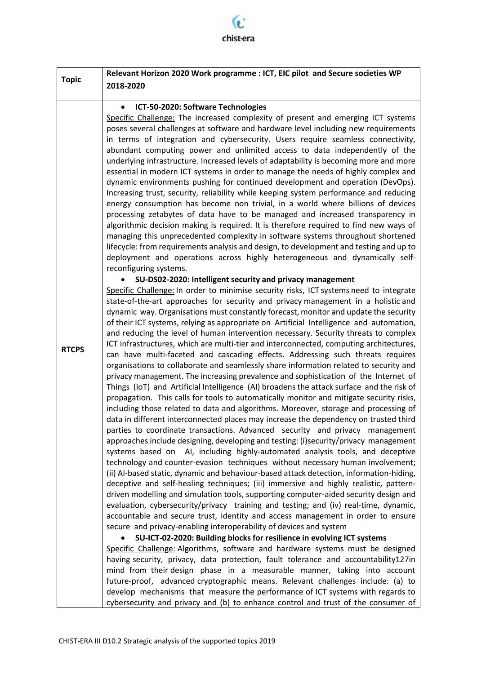$\mathbf{c}$ chist-era

|              | Relevant Horizon 2020 Work programme : ICT, EIC pilot and Secure societies WP                                                                                                                                                                                                                                                                                                                                                                                                                                                                                                                                                                                                                                                                                                                                                                                                                                                                                                                                                                                                                                                                                                                                                                                                                                                                                                                                                                                                                                                                                                                                                                                                                                                                                                                                                                                                                                                                                                                                                                                                                                                                                                                                                                                                                                                                                                                                                                                                                                                                  |  |  |
|--------------|------------------------------------------------------------------------------------------------------------------------------------------------------------------------------------------------------------------------------------------------------------------------------------------------------------------------------------------------------------------------------------------------------------------------------------------------------------------------------------------------------------------------------------------------------------------------------------------------------------------------------------------------------------------------------------------------------------------------------------------------------------------------------------------------------------------------------------------------------------------------------------------------------------------------------------------------------------------------------------------------------------------------------------------------------------------------------------------------------------------------------------------------------------------------------------------------------------------------------------------------------------------------------------------------------------------------------------------------------------------------------------------------------------------------------------------------------------------------------------------------------------------------------------------------------------------------------------------------------------------------------------------------------------------------------------------------------------------------------------------------------------------------------------------------------------------------------------------------------------------------------------------------------------------------------------------------------------------------------------------------------------------------------------------------------------------------------------------------------------------------------------------------------------------------------------------------------------------------------------------------------------------------------------------------------------------------------------------------------------------------------------------------------------------------------------------------------------------------------------------------------------------------------------------------|--|--|
| <b>Topic</b> | 2018-2020                                                                                                                                                                                                                                                                                                                                                                                                                                                                                                                                                                                                                                                                                                                                                                                                                                                                                                                                                                                                                                                                                                                                                                                                                                                                                                                                                                                                                                                                                                                                                                                                                                                                                                                                                                                                                                                                                                                                                                                                                                                                                                                                                                                                                                                                                                                                                                                                                                                                                                                                      |  |  |
|              | ICT-50-2020: Software Technologies<br>$\bullet$                                                                                                                                                                                                                                                                                                                                                                                                                                                                                                                                                                                                                                                                                                                                                                                                                                                                                                                                                                                                                                                                                                                                                                                                                                                                                                                                                                                                                                                                                                                                                                                                                                                                                                                                                                                                                                                                                                                                                                                                                                                                                                                                                                                                                                                                                                                                                                                                                                                                                                |  |  |
|              | Specific Challenge: The increased complexity of present and emerging ICT systems<br>poses several challenges at software and hardware level including new requirements<br>in terms of integration and cybersecurity. Users require seamless connectivity,<br>abundant computing power and unlimited access to data independently of the<br>underlying infrastructure. Increased levels of adaptability is becoming more and more<br>essential in modern ICT systems in order to manage the needs of highly complex and<br>dynamic environments pushing for continued development and operation (DevOps).<br>Increasing trust, security, reliability while keeping system performance and reducing<br>energy consumption has become non trivial, in a world where billions of devices<br>processing zetabytes of data have to be managed and increased transparency in<br>algorithmic decision making is required. It is therefore required to find new ways of<br>managing this unprecedented complexity in software systems throughout shortened<br>lifecycle: from requirements analysis and design, to development and testing and up to<br>deployment and operations across highly heterogeneous and dynamically self-<br>reconfiguring systems.                                                                                                                                                                                                                                                                                                                                                                                                                                                                                                                                                                                                                                                                                                                                                                                                                                                                                                                                                                                                                                                                                                                                                                                                                                                                                           |  |  |
| <b>RTCPS</b> | SU-DS02-2020: Intelligent security and privacy management<br>Specific Challenge: In order to minimise security risks, ICT systems need to integrate<br>state-of-the-art approaches for security and privacy management in a holistic and<br>dynamic way. Organisations must constantly forecast, monitor and update the security<br>of their ICT systems, relying as appropriate on Artificial Intelligence and automation,<br>and reducing the level of human intervention necessary. Security threats to complex<br>ICT infrastructures, which are multi-tier and interconnected, computing architectures,<br>can have multi-faceted and cascading effects. Addressing such threats requires<br>organisations to collaborate and seamlessly share information related to security and<br>privacy management. The increasing prevalence and sophistication of the Internet of<br>Things (IoT) and Artificial Intelligence (AI) broadens the attack surface and the risk of<br>propagation. This calls for tools to automatically monitor and mitigate security risks,<br>including those related to data and algorithms. Moreover, storage and processing of<br>data in different interconnected places may increase the dependency on trusted third<br>parties to coordinate transactions. Advanced security and privacy management<br>approaches include designing, developing and testing: (i)security/privacy management<br>systems based on AI, including highly-automated analysis tools, and deceptive<br>technology and counter-evasion techniques without necessary human involvement;<br>(ii) AI-based static, dynamic and behaviour-based attack detection, information-hiding,<br>deceptive and self-healing techniques; (iii) immersive and highly realistic, pattern-<br>driven modelling and simulation tools, supporting computer-aided security design and<br>evaluation, cybersecurity/privacy training and testing; and (iv) real-time, dynamic,<br>accountable and secure trust, identity and access management in order to ensure<br>secure and privacy-enabling interoperability of devices and system<br>SU-ICT-02-2020: Building blocks for resilience in evolving ICT systems<br>Specific Challenge: Algorithms, software and hardware systems must be designed<br>having security, privacy, data protection, fault tolerance and accountability127in<br>mind from their design phase in a measurable manner, taking into account<br>future-proof, advanced cryptographic means. Relevant challenges include: (a) to |  |  |
|              | develop mechanisms that measure the performance of ICT systems with regards to<br>cybersecurity and privacy and (b) to enhance control and trust of the consumer of                                                                                                                                                                                                                                                                                                                                                                                                                                                                                                                                                                                                                                                                                                                                                                                                                                                                                                                                                                                                                                                                                                                                                                                                                                                                                                                                                                                                                                                                                                                                                                                                                                                                                                                                                                                                                                                                                                                                                                                                                                                                                                                                                                                                                                                                                                                                                                            |  |  |